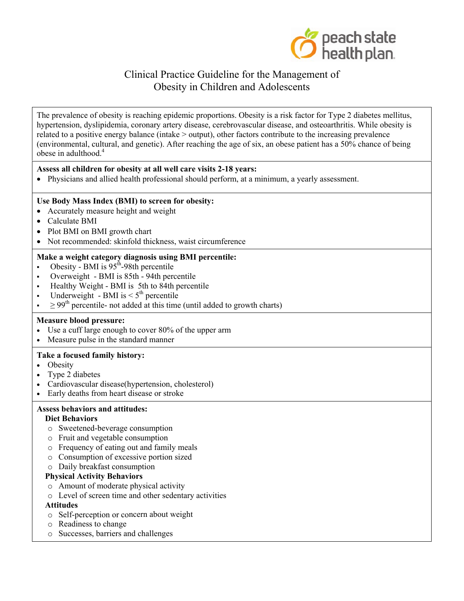

The prevalence of obesity is reaching epidemic proportions. Obesity is a risk factor for Type 2 diabetes mellitus, hypertension, dyslipidemia, coronary artery disease, cerebrovascular disease, and osteoarthritis. While obesity is related to a positive energy balance (intake > output), other factors contribute to the increasing prevalence (environmental, cultural, and genetic). After reaching the age of six, an obese patient has a 50% chance of being obese in adulthood.<sup>4</sup>

### **Assess all children for obesity at all well care visits 2-18 years:**

• Physicians and allied health professional should perform, at a minimum, a yearly assessment.

### **Use Body Mass Index (BMI) to screen for obesity:**

- Accurately measure height and weight
- Calculate BMI
- Plot BMI on BMI growth chart
- Not recommended: skinfold thickness, waist circumference

### **Make a weight category diagnosis using BMI percentile:**

- Obesity BMI is  $95<sup>th</sup>$ -98th percentile
- Overweight BMI is 85th 94th percentile
- Healthy Weight BMI is 5th to 84th percentile
- Underweight BMI is  $\leq 5$ <sup>th</sup> percentile
- $\geq 99^{th}$  percentile- not added at this time (until added to growth charts)

### **Measure blood pressure:**

- Use a cuff large enough to cover 80% of the upper arm
- Measure pulse in the standard manner

### **Take a focused family history:**

- Obesity
- Type 2 diabetes
- Cardiovascular disease(hypertension, cholesterol)
- Early deaths from heart disease or stroke

## **Assess behaviors and attitudes:**

### **Diet Behaviors**

- o Sweetened-beverage consumption
- o Fruit and vegetable consumption
- o Frequency of eating out and family meals
- o Consumption of excessive portion sized
- o Daily breakfast consumption

## **Physical Activity Behaviors**

- o Amount of moderate physical activity
- o Level of screen time and other sedentary activities

## **Attitudes**

- o Self-perception or concern about weight
- o Readiness to change
- o Successes, barriers and challenges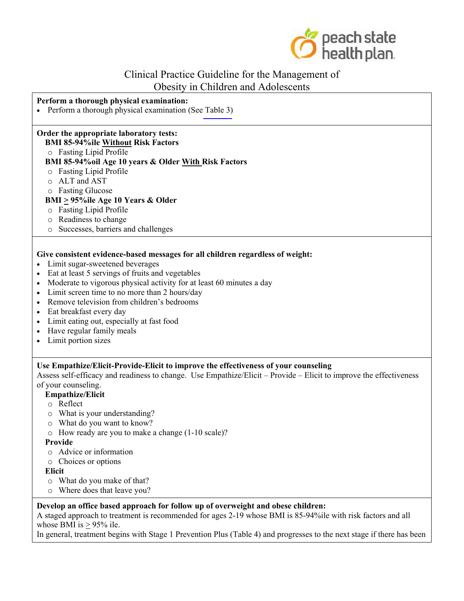

### **Perform a thorough physical examination:**

• Perform a thorough physical examination (See [Table 3\)](#page-3-0)

### **Order the appropriate laboratory tests:**

### **BMI 85-94%ile Without Risk Factors**

o Fasting Lipid Profile

### **BMI 85-94%oil Age 10 years & Older With Risk Factors**

- o Fasting Lipid Profile
- o ALT and AST
- o Fasting Glucose

### **BMI > 95%ile Age 10 Years & Older**

- o Fasting Lipid Profile
- o Readiness to change
- o Successes, barriers and challenges

#### **Give consistent evidence-based messages for all children regardless of weight:**

- Limit sugar-sweetened beverages
- Eat at least 5 servings of fruits and vegetables
- Moderate to vigorous physical activity for at least 60 minutes a day
- Limit screen time to no more than 2 hours/day
- Remove television from children's bedrooms
- Eat breakfast every day
- Limit eating out, especially at fast food
- Have regular family meals
- Limit portion sizes

### **Use Empathize/Elicit-Provide-Elicit to improve the effectiveness of your counseling**

Assess self-efficacy and readiness to change. Use Empathize/Elicit – Provide – Elicit to improve the effectiveness of your counseling.

### **Empathize/Elicit**

- o Reflect
- o What is your understanding?
- o What do you want to know?
- o How ready are you to make a change (1-10 scale)?

**Provide**

- o Advice or information
- o Choices or options

**Elicit**

- o What do you make of that?
- o Where does that leave you?

### **Develop an office based approach for follow up of overweight and obese children:**

A staged approach to treatment is recommended for ages 2-19 whose BMI is 85-94%ile with risk factors and all whose BMI is  $> 95\%$  ile.

In general, treatment begins with Stage 1 Prevention Plus (Table 4) and progresses to the next stage if there has been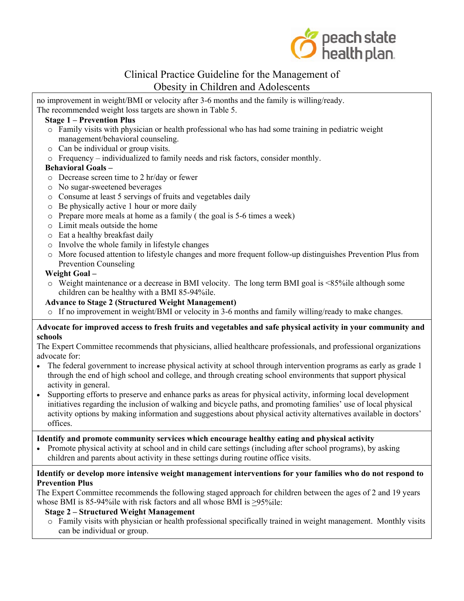

no improvement in weight/BMI or velocity after 3-6 months and the family is willing/ready. The recommended weight loss targets are shown in Table 5.

### **Stage 1 – Prevention Plus**

- o Family visits with physician or health professional who has had some training in pediatric weight management/behavioral counseling.
- o Can be individual or group visits.
- o Frequency individualized to family needs and risk factors, consider monthly.

### **Behavioral Goals –**

- o Decrease screen time to 2 hr/day or fewer
- o No sugar-sweetened beverages
- o Consume at least 5 servings of fruits and vegetables daily
- o Be physically active 1 hour or more daily
- o Prepare more meals at home as a family ( the goal is 5-6 times a week)
- o Limit meals outside the home
- o Eat a healthy breakfast daily
- o Involve the whole family in lifestyle changes
- o More focused attention to lifestyle changes and more frequent follow-up distinguishes Prevention Plus from Prevention Counseling

### **Weight Goal –**

o Weight maintenance or a decrease in BMI velocity. The long term BMI goal is <85%ile although some children can be healthy with a BMI 85-94%ile.

# **Advance to Stage 2 (Structured Weight Management)**

 $\circ$  If no improvement in weight/BMI or velocity in 3-6 months and family willing/ready to make changes.

### **Advocate for improved access to fresh fruits and vegetables and safe physical activity in your community and schools**

The Expert Committee recommends that physicians, allied healthcare professionals, and professional organizations advocate for:

- The federal government to increase physical activity at school through intervention programs as early as grade 1 through the end of high school and college, and through creating school environments that support physical activity in general.
- Supporting efforts to preserve and enhance parks as areas for physical activity, informing local development initiatives regarding the inclusion of walking and bicycle paths, and promoting families' use of local physical activity options by making information and suggestions about physical activity alternatives available in doctors' offices.

### **Identify and promote community services which encourage healthy eating and physical activity**

• Promote physical activity at school and in child care settings (including after school programs), by asking children and parents about activity in these settings during routine office visits.

### **Identify or develop more intensive weight management interventions for your families who do not respond to Prevention Plus**

The Expert Committee recommends the following staged approach for children between the ages of 2 and 19 years whose BMI is 85-94%ile with risk factors and all whose BMI is >95%ile:

### **Stage 2 – Structured Weight Management**

o Family visits with physician or health professional specifically trained in weight management. Monthly visits can be individual or group.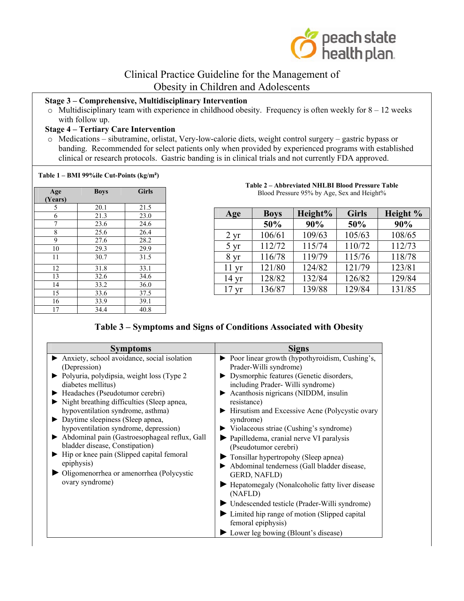

## <span id="page-3-0"></span>**Stage 3 – Comprehensive, Multidisciplinary Intervention**

 $\circ$  Multidisciplinary team with experience in childhood obesity. Frequency is often weekly for 8 – 12 weeks with follow up.

## **Stage 4 – Tertiary Care Intervention**

o Medications – sibutramine, orlistat, Very-low-calorie diets, weight control surgery – gastric bypass or banding. Recommended for select patients only when provided by experienced programs with established clinical or research protocols. Gastric banding is in clinical trials and not currently FDA approved.

#### **Table 1 – BMI 99%ile Cut-Points (kg/m²)**

| Age     | <b>Boys</b> | <b>Girls</b> |
|---------|-------------|--------------|
| (Years) |             |              |
| 5       | 20.1        | 21.5         |
| 6       | 21.3        | 23.0         |
| 7       | 23.6        | 24.6         |
| 8       | 25.6        | 26.4         |
| 9       | 27.6        | 28.2         |
| 10      | 29.3        | 29.9         |
| 11      | 30.7        | 31.5         |
| 12      | 31.8        | 33.1         |
| 13      | 32.6        | 34.6         |
| 14      | 33.2        | 36.0         |
| 15      | 33.6        | 37.5         |
| 16      | 33.9        | 39.1         |
| 17      | 34.4        | 40.8         |

#### **Table 2 – Abbreviated NHLBI Blood Pressure Table**  Blood Pressure 95% by Age, Sex and Height%

| Age             | <b>Boys</b> | Height% | <b>Girls</b> | Height % |
|-----------------|-------------|---------|--------------|----------|
|                 | 50%         | 90%     | 50%          | 90%      |
| $2 \, yr$       | 106/61      | 109/63  | 105/63       | 108/65   |
| $5 \mathrm{yr}$ | 112/72      | 115/74  | 110/72       | 112/73   |
| 8 <sub>yr</sub> | 116/78      | 119/79  | 115/76       | 118/78   |
| $11 \text{ yr}$ | 121/80      | 124/82  | 121/79       | 123/81   |
| $14 \text{ yr}$ | 128/82      | 132/84  | 126/82       | 129/84   |
| $17 \text{ yr}$ | 136/87      | 139/88  | 129/84       | 131/85   |

## **Table 3 – Symptoms and Signs of Conditions Associated with Obesity**

| <b>Symptoms</b>                                                                                                                                                                                                                                                                                                                                                                                                                                                                                                                                      | <b>Signs</b>                                                                                                                                                                                                                                                                                                                                                                                                                                                                                                                                                                                                                                                                                                                                                              |
|------------------------------------------------------------------------------------------------------------------------------------------------------------------------------------------------------------------------------------------------------------------------------------------------------------------------------------------------------------------------------------------------------------------------------------------------------------------------------------------------------------------------------------------------------|---------------------------------------------------------------------------------------------------------------------------------------------------------------------------------------------------------------------------------------------------------------------------------------------------------------------------------------------------------------------------------------------------------------------------------------------------------------------------------------------------------------------------------------------------------------------------------------------------------------------------------------------------------------------------------------------------------------------------------------------------------------------------|
| Anxiety, school avoidance, social isolation<br>(Depression)<br>• Polyuria, polydipsia, weight loss (Type 2<br>diabetes mellitus)<br>Headaches (Pseudotumor cerebri)<br>Night breathing difficulties (Sleep apnea,<br>hypoventilation syndrome, asthma)<br>• Daytime sleepiness (Sleep apnea,<br>hypoventilation syndrome, depression)<br>Abdominal pain (Gastroesophageal reflux, Gall<br>bladder disease, Constipation)<br>Hip or knee pain (Slipped capital femoral<br>epiphysis)<br>• Oligomenorrhea or amenorrhea (Polycystic<br>ovary syndrome) | $\triangleright$ Poor linear growth (hypothyroidism, Cushing's,<br>Prader-Willi syndrome)<br>Dysmorphic features (Genetic disorders,<br>including Prader-Willi syndrome)<br>Acanthosis nigricans (NIDDM, insulin<br>resistance)<br>• Hirsutism and Excessive Acne (Polycystic ovary<br>syndrome)<br>$\triangleright$ Violaceous striae (Cushing's syndrome)<br>▶ Papilledema, cranial nerve VI paralysis<br>(Pseudotumor cerebri)<br>Tonsillar hypertropohy (Sleep apnea)<br>Abdominal tenderness (Gall bladder disease,<br>GERD, NAFLD)<br>Hepatomegaly (Nonalcoholic fatty liver disease<br>(NAFLD)<br>• Undescended testicle (Prader-Willi syndrome)<br>• Limited hip range of motion (Slipped capital)<br>femoral epiphysis)<br>► Lower leg bowing (Blount's disease) |